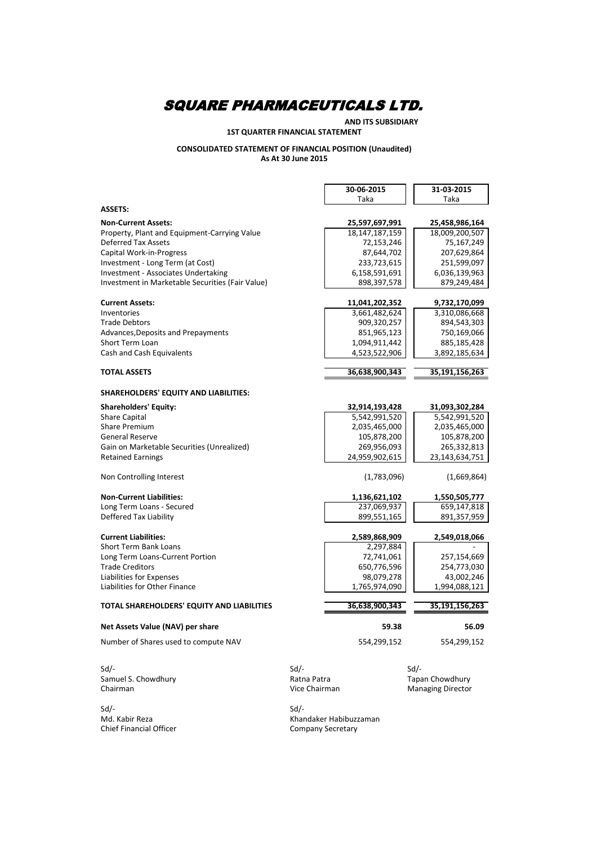### **AND ITS SUBSIDIARY**

#### **1ST QUARTER FINANCIAL STATEMENT**

#### **CONSOLIDATED STATEMENT OF FINANCIAL POSITION (Unaudited) As At 30 June 2015**

|                                                  | 30-06-2015    |                   | 31-03-2015               |
|--------------------------------------------------|---------------|-------------------|--------------------------|
|                                                  | Taka          |                   | Taka                     |
| <b>ASSETS:</b>                                   |               |                   |                          |
| <b>Non-Current Assets:</b>                       |               | 25,597,697,991    | 25,458,986,164           |
| Property, Plant and Equipment-Carrying Value     |               | 18, 147, 187, 159 | 18,009,200,507           |
| <b>Deferred Tax Assets</b>                       |               | 72,153,246        | 75,167,249               |
| Capital Work-in-Progress                         |               | 87,644,702        | 207,629,864              |
| Investment - Long Term (at Cost)                 |               | 233,723,615       | 251,599,097              |
| <b>Investment - Associates Undertaking</b>       |               | 6,158,591,691     | 6,036,139,963            |
| Investment in Marketable Securities (Fair Value) |               | 898,397,578       | 879,249,484              |
| <b>Current Assets:</b>                           |               | 11,041,202,352    | 9,732,170,099            |
| Inventories                                      |               | 3,661,482,624     | 3,310,086,668            |
| <b>Trade Debtors</b>                             |               | 909,320,257       | 894,543,303              |
| Advances, Deposits and Prepayments               |               | 851,965,123       | 750,169,066              |
| Short Term Loan                                  |               | 1,094,911,442     | 885,185,428              |
| Cash and Cash Equivalents                        |               | 4,523,522,906     | 3,892,185,634            |
|                                                  |               |                   |                          |
| <b>TOTAL ASSETS</b>                              |               | 36,638,900,343    | 35,191,156,263           |
| <b>SHAREHOLDERS' EQUITY AND LIABILITIES:</b>     |               |                   |                          |
|                                                  |               |                   |                          |
| <b>Shareholders' Equity:</b>                     |               | 32,914,193,428    | 31,093,302,284           |
| <b>Share Capital</b>                             |               | 5,542,991,520     | 5,542,991,520            |
| Share Premium                                    |               | 2,035,465,000     | 2,035,465,000            |
| <b>General Reserve</b>                           |               | 105,878,200       | 105,878,200              |
| Gain on Marketable Securities (Unrealized)       |               | 269,956,093       | 265,332,813              |
| <b>Retained Earnings</b>                         |               | 24,959,902,615    | 23,143,634,751           |
| Non Controlling Interest                         |               | (1,783,096)       | (1,669,864)              |
| <b>Non-Current Liabilities:</b>                  |               | 1,136,621,102     | 1,550,505,777            |
| Long Term Loans - Secured                        |               | 237,069,937       | 659,147,818              |
| Deffered Tax Liability                           |               | 899,551,165       | 891,357,959              |
|                                                  |               |                   |                          |
| <b>Current Liabilities:</b>                      |               | 2,589,868,909     | 2,549,018,066            |
| <b>Short Term Bank Loans</b>                     |               | 2,297,884         |                          |
| Long Term Loans-Current Portion                  |               | 72,741,061        | 257,154,669              |
| Trade Creditors                                  |               | 650,776,596       | 254,773,030              |
| Liabilities for Expenses                         |               | 98,079,278        | 43,002,246               |
| Liabilities for Other Finance                    |               | 1,765,974,090     | 1,994,088,121            |
| TOTAL SHAREHOLDERS' EQUITY AND LIABILITIES       |               | 36,638,900,343    | 35,191,156,263           |
| Net Assets Value (NAV) per share                 |               | 59.38             | 56.09                    |
| Number of Shares used to compute NAV             |               | 554,299,152       | 554,299,152              |
|                                                  |               |                   |                          |
| $Sd$ /-                                          | $Sd$ -        |                   | $Sd$ /-                  |
| Samuel S. Chowdhury                              | Ratna Patra   |                   | Tapan Chowdhury          |
| Chairman                                         | Vice Chairman |                   | <b>Managing Director</b> |
|                                                  |               |                   |                          |

Sd/- Sd/- Chief Financial Officer Chief Financial Officer Company Secretary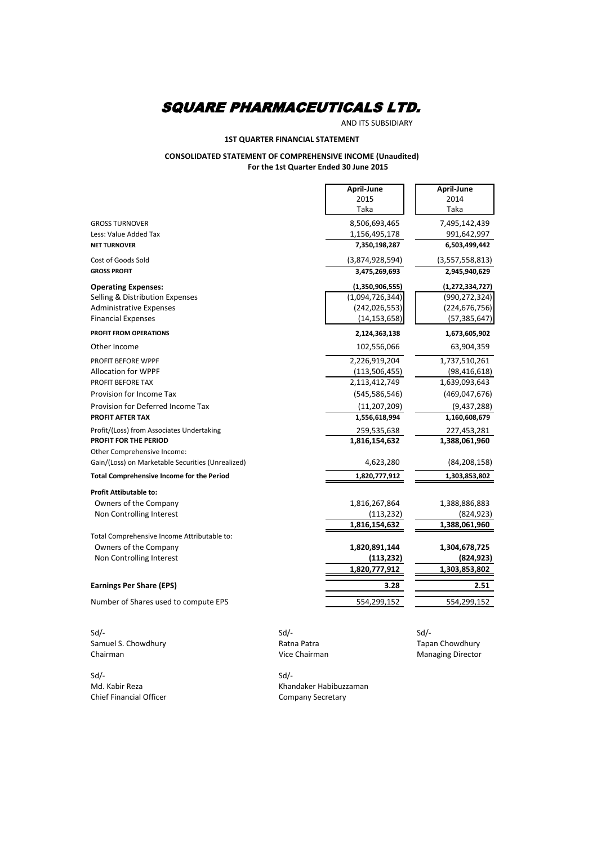AND ITS SUBSIDIARY

#### **1ST QUARTER FINANCIAL STATEMENT**

#### **CONSOLIDATED STATEMENT OF COMPREHENSIVE INCOME (Unaudited) For the 1st Quarter Ended 30 June 2015**

r.

|                                                   | April-June      | April-June         |
|---------------------------------------------------|-----------------|--------------------|
|                                                   | 2015            | 2014               |
|                                                   | Taka            | Taka               |
| <b>GROSS TURNOVER</b>                             | 8,506,693,465   | 7,495,142,439      |
| Less: Value Added Tax                             | 1,156,495,178   | 991,642,997        |
| <b>NET TURNOVER</b>                               | 7,350,198,287   | 6,503,499,442      |
| Cost of Goods Sold                                | (3,874,928,594) | (3,557,558,813)    |
| <b>GROSS PROFIT</b>                               | 3,475,269,693   | 2,945,940,629      |
| <b>Operating Expenses:</b>                        | (1,350,906,555) | (1, 272, 334, 727) |
| Selling & Distribution Expenses                   | (1,094,726,344) | (990, 272, 324)    |
| <b>Administrative Expenses</b>                    | (242, 026, 553) | (224, 676, 756)    |
| <b>Financial Expenses</b>                         | (14, 153, 658)  | (57, 385, 647)     |
| PROFIT FROM OPERATIONS                            | 2,124,363,138   | 1,673,605,902      |
| Other Income                                      | 102,556,066     | 63,904,359         |
| PROFIT BEFORE WPPF                                | 2,226,919,204   | 1,737,510,261      |
| Allocation for WPPF                               | (113, 506, 455) | (98, 416, 618)     |
| PROFIT BEFORE TAX                                 | 2,113,412,749   | 1,639,093,643      |
| Provision for Income Tax                          | (545, 586, 546) | (469, 047, 676)    |
| Provision for Deferred Income Tax                 | (11, 207, 209)  | (9,437,288)        |
| <b>PROFIT AFTER TAX</b>                           | 1,556,618,994   | 1,160,608,679      |
| Profit/(Loss) from Associates Undertaking         | 259,535,638     | 227,453,281        |
| <b>PROFIT FOR THE PERIOD</b>                      | 1,816,154,632   | 1,388,061,960      |
| Other Comprehensive Income:                       |                 |                    |
| Gain/(Loss) on Marketable Securities (Unrealized) | 4,623,280       | (84, 208, 158)     |
| <b>Total Comprehensive Income for the Period</b>  | 1,820,777,912   | 1,303,853,802      |
| <b>Profit Attibutable to:</b>                     |                 |                    |
| Owners of the Company                             | 1,816,267,864   | 1,388,886,883      |
| Non Controlling Interest                          | (113, 232)      | (824, 923)         |
|                                                   | 1,816,154,632   | 1,388,061,960      |
| Total Comprehensive Income Attributable to:       |                 |                    |
| Owners of the Company                             | 1,820,891,144   | 1,304,678,725      |
| Non Controlling Interest                          | (113, 232)      | (824, 923)         |
|                                                   | 1,820,777,912   | 1,303,853,802      |
| <b>Earnings Per Share (EPS)</b>                   | 3.28            | 2.51               |
| Number of Shares used to compute EPS              | 554,299,152     | 554,299,152        |
|                                                   |                 |                    |

Sd/- Sd/- Sd/- Samuel S. Chowdhury **Samuel S. Chowdhury Ratna Patra** Ratna Patra **Tapan Chowdhury** Chairman **Chairman** Chairman Chowdhury Chairman Managing Director

Sd/- Sd/- Chief Financial Officer

Md. Kabir Reza **Khandaker Habibuzzaman**<br>
Chief Financial Officer **Company Secretary** 

**Managing Director**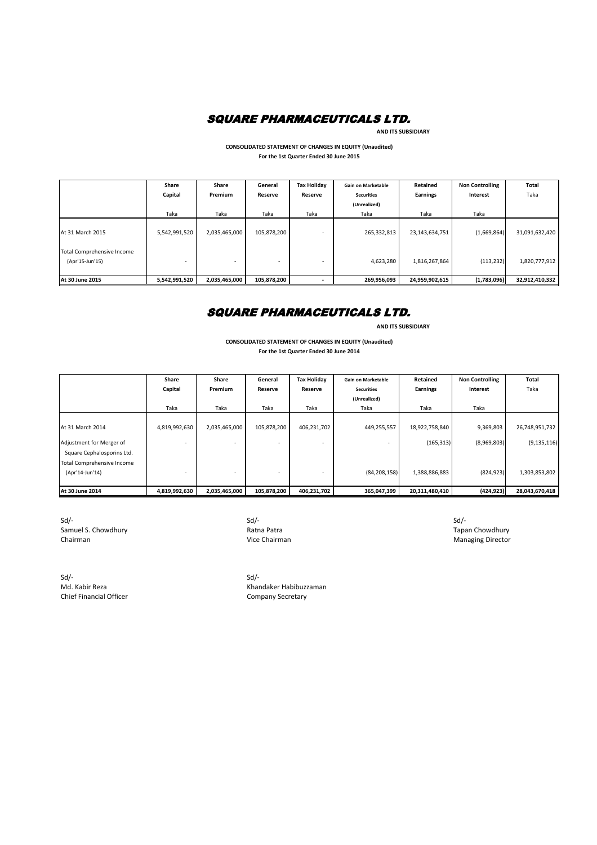

 **AND ITS SUBSIDIARY**

**CONSOLIDATED STATEMENT OF CHANGES IN EQUITY (Unaudited) For the 1st Quarter Ended 30 June 2015**

|                                               | Share<br>Capital | Share<br>Premium         | General<br>Reserve       | <b>Tax Holiday</b><br>Reserve | <b>Gain on Marketable</b><br><b>Securities</b><br>(Unrealized) | Retained<br>Earnings | <b>Non Controlling</b><br>Interest | Total<br>Taka  |
|-----------------------------------------------|------------------|--------------------------|--------------------------|-------------------------------|----------------------------------------------------------------|----------------------|------------------------------------|----------------|
|                                               | Taka             | Taka                     | Taka                     | Taka                          | Taka                                                           | Taka                 | Taka                               |                |
| <b>At 31 March 2015</b>                       | 5,542,991,520    | 2,035,465,000            | 105,878,200              |                               | 265,332,813                                                    | 23,143,634,751       | (1,669,864)                        | 31,091,632,420 |
| Total Comprehensive Income<br>(Apr'15-Jun'15) |                  | $\overline{\phantom{a}}$ | $\overline{\phantom{0}}$ |                               | 4,623,280                                                      | 1,816,267,864        | (113, 232)                         | 1,820,777,912  |
| <b>At 30 June 2015</b>                        | 5,542,991,520    | 2,035,465,000            | 105,878,200              |                               | 269,956,093                                                    | 24,959,902,615       | (1,783,096)                        | 32,912,410,332 |

### SQUARE PHARMACEUTICALS LTD.

 **AND ITS SUBSIDIARY**

**For the 1st Quarter Ended 30 June 2014 CONSOLIDATED STATEMENT OF CHANGES IN EQUITY (Unaudited)**

|                                   | Share         | Share                    | General     | <b>Tax Holiday</b>       | <b>Gain on Marketable</b> | Retained       | <b>Non Controlling</b> | <b>Total</b>   |
|-----------------------------------|---------------|--------------------------|-------------|--------------------------|---------------------------|----------------|------------------------|----------------|
|                                   | Capital       | <b>Premium</b>           | Reserve     | Reserve                  | <b>Securities</b>         | Earnings       | Interest               | Taka           |
|                                   |               |                          |             |                          | (Unrealized)              |                |                        |                |
|                                   | Taka          | Taka                     | Taka        | Taka                     | Taka                      | Taka           | Taka                   |                |
|                                   |               |                          |             |                          |                           |                |                        |                |
| <b>At 31 March 2014</b>           | 4,819,992,630 | 2,035,465,000            | 105,878,200 | 406,231,702              | 449,255,557               | 18,922,758,840 | 9,369,803              | 26,748,951,732 |
| Adjustment for Merger of          |               | -                        |             |                          |                           | (165, 313)     | (8,969,803)            | (9, 135, 116)  |
| Square Cephalosporins Ltd.        |               |                          |             |                          |                           |                |                        |                |
| <b>Total Comprehensive Income</b> |               |                          |             |                          |                           |                |                        |                |
| (Apr'14-Jun'14)                   |               | $\overline{\phantom{a}}$ |             | $\overline{\phantom{a}}$ | (84, 208, 158)            | 1,388,886,883  | (824, 923)             | 1,303,853,802  |
|                                   |               |                          |             |                          |                           |                |                        |                |
| At 30 June 2014                   | 4,819,992,630 | 2,035,465,000            | 105,878,200 | 406,231,702              | 365,047,399               | 20,311,480,410 | (424, 923)             | 28,043,670,418 |

Sd/- Sd/- Sd/- Samuel S. Chowdhury **Samuel S. Chowdhury Ratna Patra** Ratna Patra **Tapan Chowdhury Ratna Patra** Tapan Chowdhury Chairman **Chairman** Chairman Chairman Chairman Managing Director

Sd/- Sd/- Chief Financial Officer Chief Financial Officer Company Secretary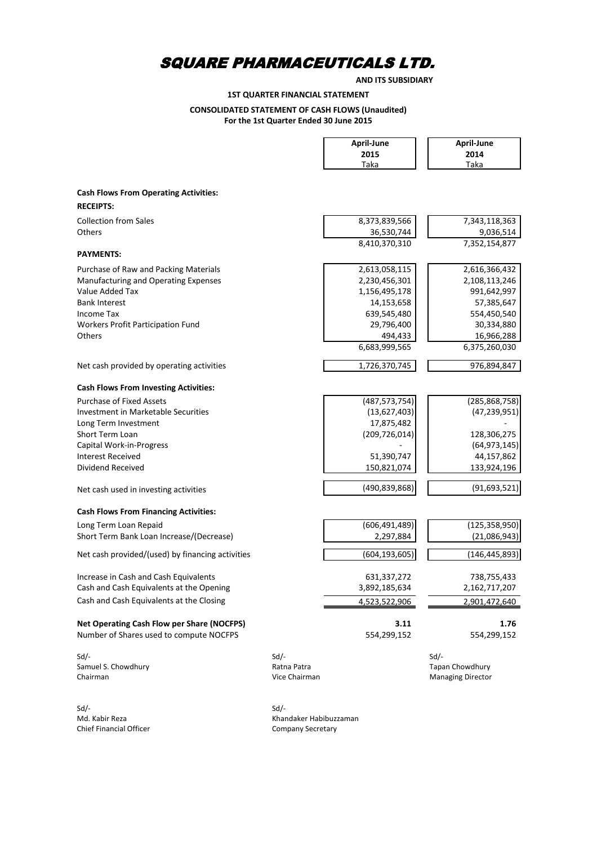**AND ITS SUBSIDIARY**

**1ST QUARTER FINANCIAL STATEMENT**

### **CONSOLIDATED STATEMENT OF CASH FLOWS (Unaudited)**

**For the 1st Quarter Ended 30 June 2015**

|                                                                  |                        | April-June<br>2015<br>Taka | April-June<br>2014<br>Taka |
|------------------------------------------------------------------|------------------------|----------------------------|----------------------------|
|                                                                  |                        |                            |                            |
| <b>Cash Flows From Operating Activities:</b><br><b>RECEIPTS:</b> |                        |                            |                            |
| <b>Collection from Sales</b>                                     |                        | 8,373,839,566              | 7,343,118,363              |
| Others                                                           |                        | 36,530,744                 | 9,036,514                  |
|                                                                  |                        | 8,410,370,310              | 7,352,154,877              |
| <b>PAYMENTS:</b>                                                 |                        |                            |                            |
| Purchase of Raw and Packing Materials                            |                        | 2,613,058,115              | 2,616,366,432              |
| Manufacturing and Operating Expenses                             |                        | 2,230,456,301              | 2,108,113,246              |
| Value Added Tax                                                  |                        | 1,156,495,178              | 991,642,997                |
| <b>Bank Interest</b>                                             |                        | 14,153,658                 | 57,385,647                 |
| <b>Income Tax</b>                                                |                        | 639,545,480                | 554,450,540                |
| Workers Profit Participation Fund                                |                        | 29,796,400                 | 30,334,880                 |
| Others                                                           |                        | 494,433                    | 16,966,288                 |
|                                                                  |                        | 6,683,999,565              | 6,375,260,030              |
| Net cash provided by operating activities                        |                        | 1,726,370,745              | 976,894,847                |
| <b>Cash Flows From Investing Activities:</b>                     |                        |                            |                            |
| <b>Purchase of Fixed Assets</b>                                  |                        | (487, 573, 754)            | (285, 868, 758)            |
| Investment in Marketable Securities                              |                        | (13,627,403)               | (47, 239, 951)             |
| Long Term Investment                                             |                        | 17,875,482                 |                            |
| Short Term Loan                                                  |                        | (209, 726, 014)            | 128,306,275                |
| Capital Work-in-Progress                                         |                        |                            | (64, 973, 145)             |
| <b>Interest Received</b>                                         |                        | 51,390,747                 | 44,157,862                 |
| Dividend Received                                                |                        | 150,821,074                | 133,924,196                |
| Net cash used in investing activities                            |                        | (490,839,868)              | (91, 693, 521)             |
| <b>Cash Flows From Financing Activities:</b>                     |                        |                            |                            |
| Long Term Loan Repaid                                            |                        | (606, 491, 489)            | (125, 358, 950)            |
| Short Term Bank Loan Increase/(Decrease)                         |                        | 2,297,884                  | (21,086,943)               |
| Net cash provided/(used) by financing activities                 |                        | (604, 193, 605)            | (146, 445, 893)            |
| Increase in Cash and Cash Equivalents                            |                        | 631,337,272                | 738,755,433                |
| Cash and Cash Equivalents at the Opening                         |                        | 3,892,185,634              | 2,162,717,207              |
| Cash and Cash Equivalents at the Closing                         |                        | 4,523,522,906              | 2,901,472,640              |
|                                                                  |                        |                            |                            |
| <b>Net Operating Cash Flow per Share (NOCFPS)</b>                |                        | 3.11                       | 1.76                       |
| Number of Shares used to compute NOCFPS                          |                        | 554,299,152                | 554,299,152                |
| $Sd$ -                                                           | Sd                     |                            | $Sd$ /-                    |
| Samuel S. Chowdhury                                              | Ratna Patra            |                            | Tapan Chowdhury            |
| Chairman                                                         | Vice Chairman          |                            | <b>Managing Director</b>   |
|                                                                  | $Sd$ -                 |                            |                            |
| $Sd$ -<br>Md. Kabir Reza                                         | Khandaker Habibuzzaman |                            |                            |

Chief Financial Officer Chief Financial Officer Company Secretary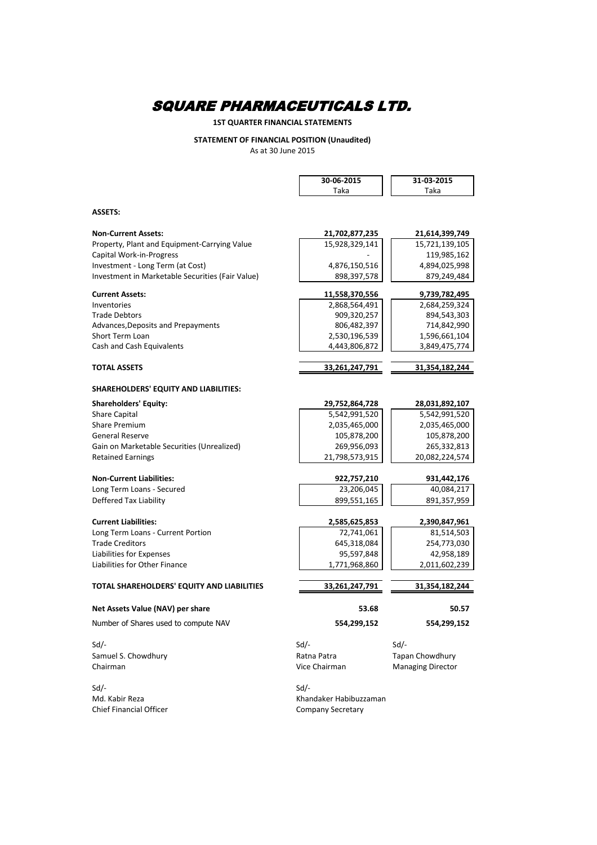### **1ST QUARTER FINANCIAL STATEMENTS**

#### **STATEMENT OF FINANCIAL POSITION (Unaudited)** As at 30 June 2015

|                                                  | 30-06-2015                | 31-03-2015               |
|--------------------------------------------------|---------------------------|--------------------------|
|                                                  | Taka                      | Taka                     |
|                                                  |                           |                          |
| <b>ASSETS:</b>                                   |                           |                          |
|                                                  |                           |                          |
| <b>Non-Current Assets:</b>                       | 21,702,877,235            | 21,614,399,749           |
| Property, Plant and Equipment-Carrying Value     | 15,928,329,141            | 15,721,139,105           |
| Capital Work-in-Progress                         |                           | 119,985,162              |
| Investment - Long Term (at Cost)                 | 4,876,150,516             | 4,894,025,998            |
| Investment in Marketable Securities (Fair Value) | 898,397,578               | 879,249,484              |
| <b>Current Assets:</b>                           | 11,558,370,556            | 9,739,782,495            |
| Inventories                                      | 2,868,564,491             | 2,684,259,324            |
| <b>Trade Debtors</b>                             | 909,320,257               | 894,543,303              |
| Advances, Deposits and Prepayments               | 806,482,397               | 714,842,990              |
| <b>Short Term Loan</b>                           | 2,530,196,539             | 1,596,661,104            |
| Cash and Cash Equivalents                        | 4,443,806,872             | 3,849,475,774            |
|                                                  |                           |                          |
| <b>TOTAL ASSETS</b>                              | 33,261,247,791            | 31,354,182,244           |
| <b>SHAREHOLDERS' EQUITY AND LIABILITIES:</b>     |                           |                          |
| <b>Shareholders' Equity:</b>                     | 29,752,864,728            | 28,031,892,107           |
| <b>Share Capital</b>                             | 5,542,991,520             | 5,542,991,520            |
| <b>Share Premium</b>                             | 2,035,465,000             | 2,035,465,000            |
| <b>General Reserve</b>                           | 105,878,200               | 105,878,200              |
| Gain on Marketable Securities (Unrealized)       | 269,956,093               | 265,332,813              |
| <b>Retained Earnings</b>                         | 21,798,573,915            | 20,082,224,574           |
| <b>Non-Current Liabilities:</b>                  |                           |                          |
|                                                  | 922,757,210<br>23,206,045 | 931,442,176              |
| Long Term Loans - Secured                        |                           | 40,084,217               |
| Deffered Tax Liability                           | 899,551,165               | 891,357,959              |
| <b>Current Liabilities:</b>                      | 2,585,625,853             | 2,390,847,961            |
| Long Term Loans - Current Portion                | 72,741,061                | 81,514,503               |
| <b>Trade Creditors</b>                           | 645,318,084               | 254,773,030              |
| Liabilities for Expenses                         | 95,597,848                | 42.958.189               |
| Liabilities for Other Finance                    | 1,771,968,860             | 2,011,602,239            |
| TOTAL SHAREHOLDERS' EQUITY AND LIABILITIES       | 33,261,247,791            | 31,354,182,244           |
|                                                  |                           |                          |
| Net Assets Value (NAV) per share                 | 53.68                     | 50.57                    |
| Number of Shares used to compute NAV             | 554,299,152               | 554,299,152              |
| $Sd$ -                                           | Sd                        | $Sd$ /-                  |
| Samuel S. Chowdhury                              | Ratna Patra               | Tapan Chowdhury          |
| Chairman                                         | Vice Chairman             | <b>Managing Director</b> |
|                                                  |                           |                          |
| $Sd$ /-                                          | Sd                        |                          |

Chief Financial Officer Company Secretary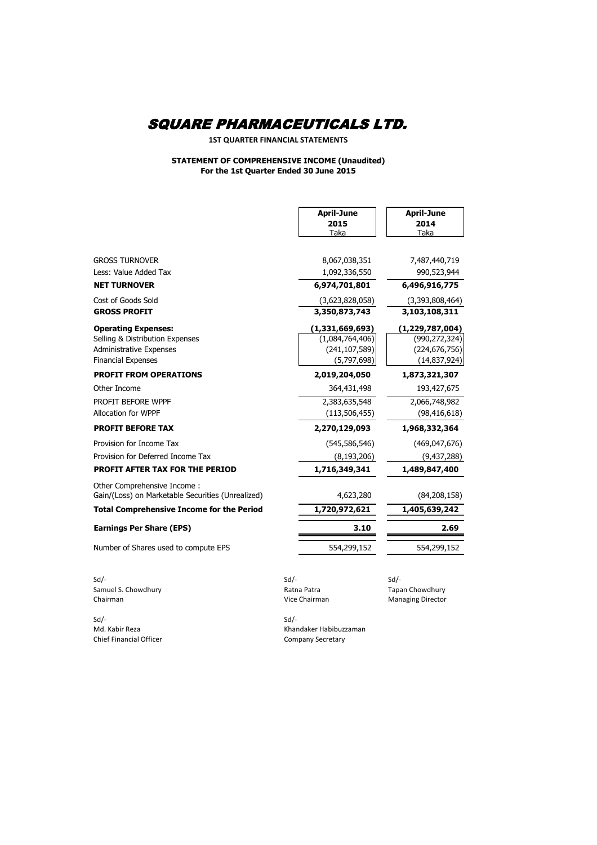**1ST QUARTER FINANCIAL STATEMENTS**

#### **STATEMENT OF COMPREHENSIVE INCOME (Unaudited) For the 1st Quarter Ended 30 June 2015**

|                                                             |             | <b>April-June</b><br>2015<br>Taka | <b>April-June</b><br>2014<br>Taka |
|-------------------------------------------------------------|-------------|-----------------------------------|-----------------------------------|
| <b>GROSS TURNOVER</b>                                       |             | 8,067,038,351                     | 7,487,440,719                     |
| Less: Value Added Tax                                       |             | 1,092,336,550                     | 990,523,944                       |
| <b>NET TURNOVER</b>                                         |             | 6,974,701,801                     | 6,496,916,775                     |
| Cost of Goods Sold                                          |             | (3,623,828,058)                   | (3,393,808,464)                   |
| <b>GROSS PROFIT</b>                                         |             | 3,350,873,743                     | 3,103,108,311                     |
| <b>Operating Expenses:</b>                                  |             | (1, 331, 669, 693)                | (1, 229, 787, 004)                |
| Selling & Distribution Expenses                             |             | (1,084,764,406)                   | (990, 272, 324)                   |
| <b>Administrative Expenses</b><br><b>Financial Expenses</b> |             | (241, 107, 589)<br>(5,797,698)    | (224, 676, 756)<br>(14, 837, 924) |
| <b>PROFIT FROM OPERATIONS</b>                               |             | 2,019,204,050                     | 1,873,321,307                     |
| Other Income                                                |             | 364,431,498                       | 193,427,675                       |
| PROFIT BEFORE WPPF                                          |             | 2,383,635,548                     | 2,066,748,982                     |
| Allocation for WPPF                                         |             | (113, 506, 455)                   | (98, 416, 618)                    |
| <b>PROFIT BEFORE TAX</b>                                    |             | 2,270,129,093                     | 1,968,332,364                     |
| Provision for Income Tax                                    |             | (545, 586, 546)                   | (469, 047, 676)                   |
| Provision for Deferred Income Tax                           |             | (8, 193, 206)                     | (9, 437, 288)                     |
| <b>PROFIT AFTER TAX FOR THE PERIOD</b>                      |             | 1,716,349,341                     | 1,489,847,400                     |
| Other Comprehensive Income:                                 |             |                                   |                                   |
| Gain/(Loss) on Marketable Securities (Unrealized)           |             | 4,623,280                         | (84, 208, 158)                    |
| <b>Total Comprehensive Income for the Period</b>            |             | 1,720,972,621                     | 1,405,639,242                     |
| <b>Earnings Per Share (EPS)</b>                             |             | 3.10                              | 2.69                              |
| Number of Shares used to compute EPS                        |             | 554,299,152                       | 554,299,152                       |
| Sd                                                          | $Sd$ -      |                                   | $Sd$ -                            |
| Samuel S. Chowdhury                                         | Ratna Patra |                                   | Tapan Chowdhury                   |
| Chairman                                                    |             | Vice Chairman                     | <b>Managing Director</b>          |

Sd/- Sd/- Chief Financial Officer Chief Financial Officer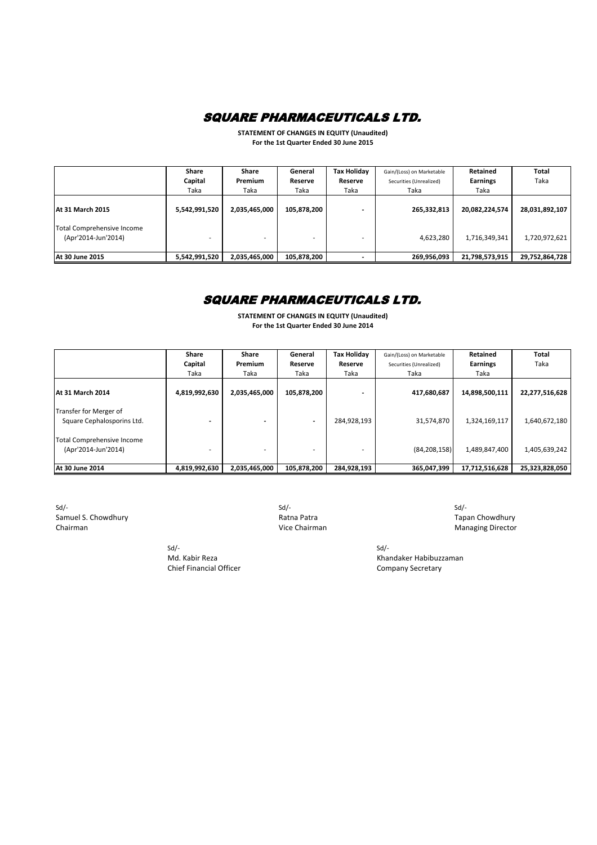**STATEMENT OF CHANGES IN EQUITY (Unaudited) For the 1st Quarter Ended 30 June 2015**

|                                                   | Share<br>Capital<br>Taka | Share<br><b>Premium</b><br>Taka | General<br><b>Reserve</b><br>Taka | <b>Tax Holiday</b><br>Reserve<br>Taka | Gain/(Loss) on Marketable<br>Securities (Unrealized)<br>Taka | Retained<br><b>Earnings</b><br>Taka | Total<br>Taka  |
|---------------------------------------------------|--------------------------|---------------------------------|-----------------------------------|---------------------------------------|--------------------------------------------------------------|-------------------------------------|----------------|
| <b>IAt 31 March 2015</b>                          | 5,542,991,520            | 2,035,465,000                   | 105,878,200                       |                                       | 265,332,813                                                  | 20,082,224,574                      | 28,031,892,107 |
| Total Comprehensive Income<br>(Apr'2014-Jun'2014) |                          |                                 |                                   |                                       | 4,623,280                                                    | 1,716,349,341                       | 1,720,972,621  |
| <b>At 30 June 2015</b>                            | 5,542,991,520            | 2,035,465,000                   | 105,878,200                       |                                       | 269,956,093                                                  | 21,798,573,915                      | 29,752,864,728 |

### SQUARE PHARMACEUTICALS LTD.

**STATEMENT OF CHANGES IN EQUITY (Unaudited) For the 1st Quarter Ended 30 June 2014**

|                                                      | Share         | <b>Share</b>             | General                  | <b>Tax Holiday</b> | Gain/(Loss) on Marketable | Retained        | Total          |
|------------------------------------------------------|---------------|--------------------------|--------------------------|--------------------|---------------------------|-----------------|----------------|
|                                                      | Capital       | Premium                  | Reserve                  | <b>Reserve</b>     | Securities (Unrealized)   | <b>Earnings</b> | Taka           |
|                                                      | Taka          | Taka                     | Taka                     | Taka               | Taka                      | Taka            |                |
| <b>At 31 March 2014</b>                              | 4,819,992,630 | 2,035,465,000            | 105,878,200              |                    | 417,680,687               | 14,898,500,111  | 22,277,516,628 |
| Transfer for Merger of<br>Square Cephalosporins Ltd. |               |                          | $\overline{\phantom{0}}$ | 284,928,193        | 31,574,870                | 1,324,169,117   | 1,640,672,180  |
| Total Comprehensive Income<br>(Apr'2014-Jun'2014)    |               | $\overline{\phantom{0}}$ |                          |                    | (84, 208, 158)            | 1,489,847,400   | 1,405,639,242  |
| <b>At 30 June 2014</b>                               | 4,819,992,630 | 2,035,465,000            | 105,878,200              | 284,928,193        | 365,047,399               | 17,712,516,628  | 25,323,828,050 |

Sd/- Sd/- Sd/- Samuel S. Chowdhury **Samuel S. Chowdhury Ratna Patra** Ratna Patra **Tapan Chowdhury Chairman** Chairman Chowdhury Chairman Chowdhury Chairman Chairman Chowdhury Chairman Chairman Chairman Chairman Chairman Chairman Chai

> Sd/- Sd/- Chief Financial Officer Chief Financial Officer Company Secretary

Managing Director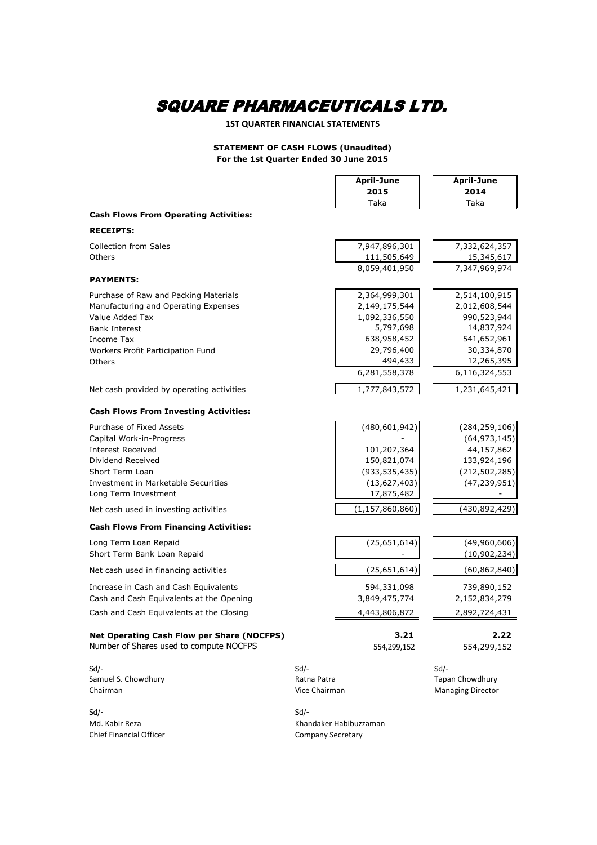#### **1ST QUARTER FINANCIAL STATEMENTS**

#### **STATEMENT OF CASH FLOWS (Unaudited) For the 1st Quarter Ended 30 June 2015**

|                                                                                              |                          | <b>April-June</b>      | <b>April-June</b>        |
|----------------------------------------------------------------------------------------------|--------------------------|------------------------|--------------------------|
|                                                                                              |                          | 2015                   | 2014                     |
|                                                                                              |                          | Taka                   | Taka                     |
| <b>Cash Flows From Operating Activities:</b>                                                 |                          |                        |                          |
| <b>RECEIPTS:</b>                                                                             |                          |                        |                          |
| <b>Collection from Sales</b>                                                                 |                          | 7,947,896,301          | 7,332,624,357            |
| Others                                                                                       |                          | 111,505,649            | 15,345,617               |
|                                                                                              |                          | 8,059,401,950          | 7,347,969,974            |
| <b>PAYMENTS:</b>                                                                             |                          |                        |                          |
| Purchase of Raw and Packing Materials                                                        |                          | 2,364,999,301          | 2,514,100,915            |
| Manufacturing and Operating Expenses                                                         |                          | 2,149,175,544          | 2,012,608,544            |
| Value Added Tax                                                                              |                          | 1,092,336,550          | 990,523,944              |
| <b>Bank Interest</b>                                                                         |                          | 5,797,698              | 14,837,924               |
| Income Tax                                                                                   |                          | 638,958,452            | 541,652,961              |
| Workers Profit Participation Fund                                                            |                          | 29,796,400             | 30,334,870               |
| Others                                                                                       |                          | 494,433                | 12,265,395               |
|                                                                                              |                          | 6,281,558,378          | 6,116,324,553            |
| Net cash provided by operating activities                                                    |                          | 1,777,843,572          | 1,231,645,421            |
| <b>Cash Flows From Investing Activities:</b>                                                 |                          |                        |                          |
| Purchase of Fixed Assets                                                                     |                          | (480, 601, 942)        | (284, 259, 106)          |
| Capital Work-in-Progress                                                                     |                          |                        | (64, 973, 145)           |
| <b>Interest Received</b>                                                                     |                          | 101,207,364            | 44,157,862               |
| Dividend Received                                                                            |                          | 150,821,074            | 133,924,196              |
| Short Term Loan                                                                              |                          | (933, 535, 435)        | (212, 502, 285)          |
| Investment in Marketable Securities                                                          |                          | (13,627,403)           | (47, 239, 951)           |
| Long Term Investment                                                                         |                          | 17,875,482             |                          |
| Net cash used in investing activities                                                        |                          | (1, 157, 860, 860)     | (430, 892, 429)          |
| <b>Cash Flows From Financing Activities:</b>                                                 |                          |                        |                          |
| Long Term Loan Repaid                                                                        |                          | (25,651,614)           | (49,960,606)             |
| Short Term Bank Loan Repaid                                                                  |                          |                        | (10, 902, 234)           |
|                                                                                              |                          |                        |                          |
| Net cash used in financing activities                                                        |                          | (25, 651, 614)         | (60, 862, 840)           |
| Increase in Cash and Cash Equivalents                                                        |                          | 594,331,098            | 739,890,152              |
| Cash and Cash Equivalents at the Opening                                                     |                          | 3,849,475,774          | 2,152,834,279            |
| Cash and Cash Equivalents at the Closing                                                     |                          | 4,443,806,872          | 2,892,724,431            |
| <b>Net Operating Cash Flow per Share (NOCFPS)</b><br>Number of Shares used to compute NOCFPS |                          | 3.21<br>554,299,152    | 2.22<br>554,299,152      |
| $Sd$ -                                                                                       | Sd                       |                        | $Sd$ -                   |
| Samuel S. Chowdhury                                                                          | Ratna Patra              |                        | Tapan Chowdhury          |
| Chairman                                                                                     | Vice Chairman            |                        | <b>Managing Director</b> |
| $Sd$ -                                                                                       | Sd                       |                        |                          |
| Md. Kabir Reza                                                                               |                          | Khandaker Habibuzzaman |                          |
| <b>Chief Financial Officer</b>                                                               | <b>Company Secretary</b> |                        |                          |
|                                                                                              |                          |                        |                          |